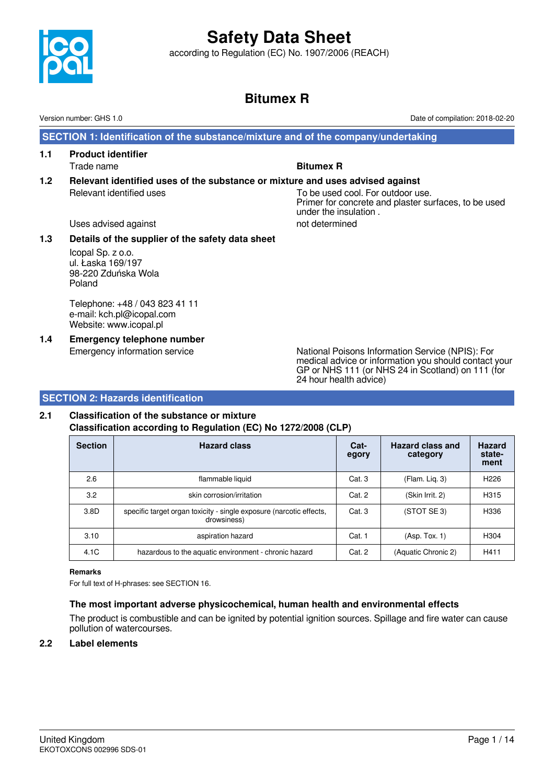

according to Regulation (EC) No. 1907/2006 (REACH)

# **Bitumex R**

under the insulation .

 **SECTION 1: Identification of the substance/mixture and of the company/undertaking**

- **1.1 Product identifier** Trade name **Bitumex R**
- **1.2 Relevant identified uses of the substance or mixture and uses advised against** Relevant identified uses To be used cool. For outdoor use. Primer for concrete and plaster surfaces, to be used

Uses advised against not determined

# **1.3 Details of the supplier of the safety data sheet**

Icopal Sp. z o.o. ul. Łaska 169/197 98-220 Zduńska Wola Poland

Telephone: +48 / 043 823 41 11 e-mail: kch.pl@icopal.com Website: www.icopal.pl

**1.4 Emergency telephone number**

Emergency information service National Poisons Information Service (NPIS): For medical advice or information you should contact your GP or NHS 111 (or NHS 24 in Scotland) on 111 (for 24 hour health advice)

# **SECTION 2: Hazards identification**

# **2.1 Classification of the substance or mixture Classification according to Regulation (EC) No 1272/2008 (CLP)**

| <b>Section</b> | <b>Hazard class</b>                                                                | Cat-<br>egory | Hazard class and<br>category | <b>Hazard</b><br>state-<br>ment |
|----------------|------------------------------------------------------------------------------------|---------------|------------------------------|---------------------------------|
| 2.6            | flammable liquid                                                                   | Cat.3         | (Flam. Lig. 3)               | H <sub>226</sub>                |
| 3.2            | skin corrosion/irritation                                                          | Cat. 2        | (Skin Irrit. 2)              | H <sub>3</sub> 15               |
| 3.8D           | specific target organ toxicity - single exposure (narcotic effects,<br>drowsiness) | Cat. 3        | (STOT SE3)                   | H336                            |
| 3.10           | aspiration hazard                                                                  | Cat. 1        | (Asp. Tox. 1)                | H <sub>304</sub>                |
| 4.1C           | hazardous to the aquatic environment - chronic hazard                              | Cat. 2        | (Aquatic Chronic 2)          | H411                            |

## **Remarks**

For full text of H-phrases: see SECTION 16.

# **The most important adverse physicochemical, human health and environmental effects**

The product is combustible and can be ignited by potential ignition sources. Spillage and fire water can cause pollution of watercourses.

# **2.2 Label elements**

Version number: GHS 1.0 Date of compilation: 2018-02-20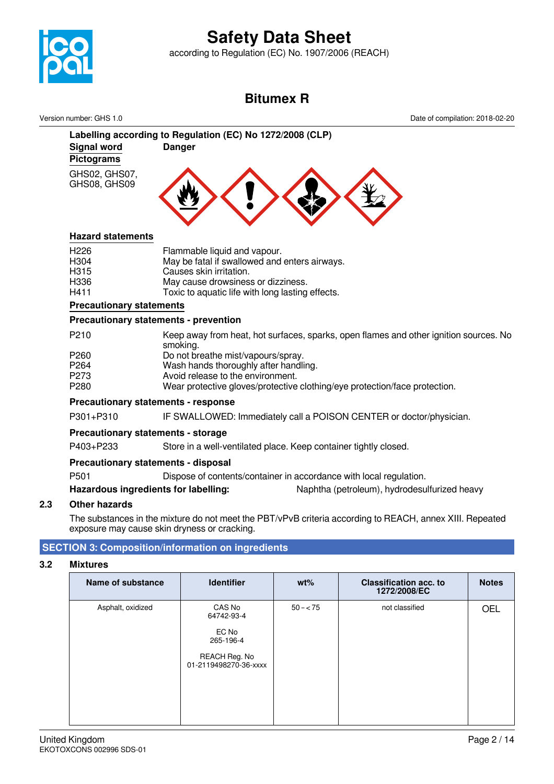

according to Regulation (EC) No. 1907/2006 (REACH)

# **Bitumex R**

Version number: GHS 1.0 Date of compilation: 2018-02-20



# **Hazard statements**

| H <sub>226</sub> | Flammable liquid and vapour.                     |
|------------------|--------------------------------------------------|
| H <sub>304</sub> | May be fatal if swallowed and enters airways.    |
| H <sub>315</sub> | Causes skin irritation.                          |
| H336             | May cause drowsiness or dizziness.               |
| H411             | Toxic to aquatic life with long lasting effects. |
|                  |                                                  |

## **Precautionary statements**

# **Precautionary statements - prevention**

| P <sub>210</sub> | Keep away from heat, hot surfaces, sparks, open flames and other ignition sources. No<br>smoking. |
|------------------|---------------------------------------------------------------------------------------------------|
| P <sub>260</sub> | Do not breathe mist/vapours/spray.                                                                |
| P <sub>264</sub> | Wash hands thoroughly after handling.                                                             |
| P <sub>273</sub> | Avoid release to the environment.                                                                 |
| P <sub>280</sub> | Wear protective gloves/protective clothing/eye protection/face protection.                        |

# **Precautionary statements - response**

P301+P310 IF SWALLOWED: Immediately call a POISON CENTER or doctor/physician.

# **Precautionary statements - storage**

P403+P233 Store in a well-ventilated place. Keep container tightly closed.

## **Precautionary statements - disposal**

P501 Dispose of contents/container in accordance with local regulation.

**Hazardous ingredients for labelling:** Naphtha (petroleum), hydrodesulfurized heavy

# **2.3 Other hazards**

The substances in the mixture do not meet the PBT/vPvB criteria according to REACH, annex XIII. Repeated exposure may cause skin dryness or cracking.

# **SECTION 3: Composition/information on ingredients**

## **3.2 Mixtures**

| <b>Name of substance</b> | <b>Identifier</b>                                                                    | $wt\%$      | <b>Classification acc. to</b><br>1272/2008/EC | <b>Notes</b> |
|--------------------------|--------------------------------------------------------------------------------------|-------------|-----------------------------------------------|--------------|
| Asphalt, oxidized        | CAS No<br>64742-93-4<br>EC No<br>265-196-4<br>REACH Reg. No<br>01-2119498270-36-xxxx | $50 - < 75$ | not classified                                | <b>OEL</b>   |
|                          |                                                                                      |             |                                               |              |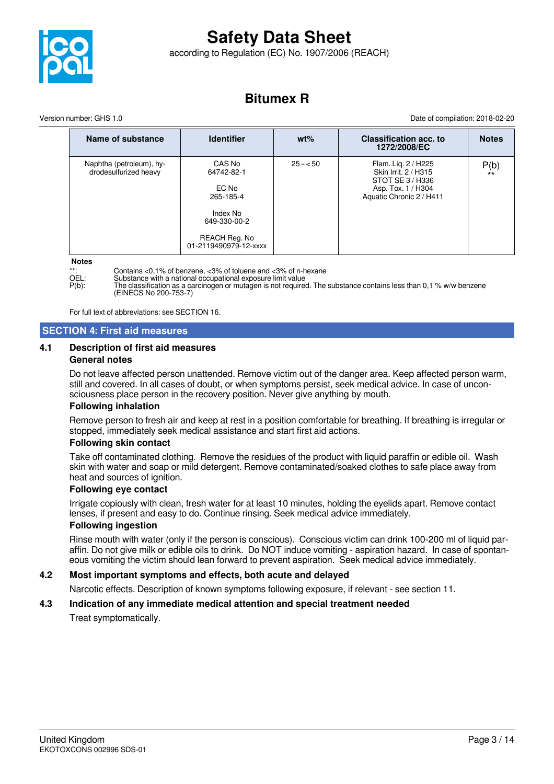

according to Regulation (EC) No. 1907/2006 (REACH)

# **Bitumex R**

Version number: GHS 1.0 Date of compilation: 2018-02-20

| Name of substance                                 | <b>Identifier</b>                                                                                                | $wt\%$    | <b>Classification acc. to</b><br>1272/2008/EC                                                                     | <b>Notes</b>  |
|---------------------------------------------------|------------------------------------------------------------------------------------------------------------------|-----------|-------------------------------------------------------------------------------------------------------------------|---------------|
| Naphtha (petroleum), hy-<br>drodesulfurized heavy | CAS No<br>64742-82-1<br>EC No<br>265-185-4<br>Index No<br>649-330-00-2<br>REACH Reg. No<br>01-2119490979-12-xxxx | $25 - 50$ | Flam. Lig. 2 / H225<br>Skin Irrit. 2 / H315<br>STOT SE 3 / H336<br>Asp. Tox. 1 / H304<br>Aquatic Chronic 2 / H411 | P(b)<br>$***$ |

#### **Notes**

\*\*: Contains <0,1% of benzene, <3% of toluene and <3% of n-hexane<br>
OFL: Substance with a national occupational exposure limit value

OEL: Substance with a national occupational exposure limit value<br>P(b): The classification as a carcinogen or mutagen is not require P(b): The classification as a carcinogen or mutagen is not required. The substance contains less than 0,1 % w/w benzene (EINECS No 200-753-7)

For full text of abbreviations: see SECTION 16.

# **SECTION 4: First aid measures**

#### **4.1 Description of first aid measures General notes**

Do not leave affected person unattended. Remove victim out of the danger area. Keep affected person warm, still and covered. In all cases of doubt, or when symptoms persist, seek medical advice. In case of unconsciousness place person in the recovery position. Never give anything by mouth.

## **Following inhalation**

Remove person to fresh air and keep at rest in a position comfortable for breathing. If breathing is irregular or stopped, immediately seek medical assistance and start first aid actions.

#### **Following skin contact**

Take off contaminated clothing. Remove the residues of the product with liquid paraffin or edible oil. Wash skin with water and soap or mild detergent. Remove contaminated/soaked clothes to safe place away from heat and sources of ignition.

#### **Following eye contact**

Irrigate copiously with clean, fresh water for at least 10 minutes, holding the eyelids apart. Remove contact lenses, if present and easy to do. Continue rinsing. Seek medical advice immediately.

#### **Following ingestion**

Rinse mouth with water (only if the person is conscious). Conscious victim can drink 100-200 ml of liquid paraffin. Do not give milk or edible oils to drink. Do NOT induce vomiting - aspiration hazard. In case of spontaneous vomiting the victim should lean forward to prevent aspiration. Seek medical advice immediately.

## **4.2 Most important symptoms and effects, both acute and delayed**

Narcotic effects. Description of known symptoms following exposure, if relevant - see section 11.

## **4.3 Indication of any immediate medical attention and special treatment needed**

Treat symptomatically.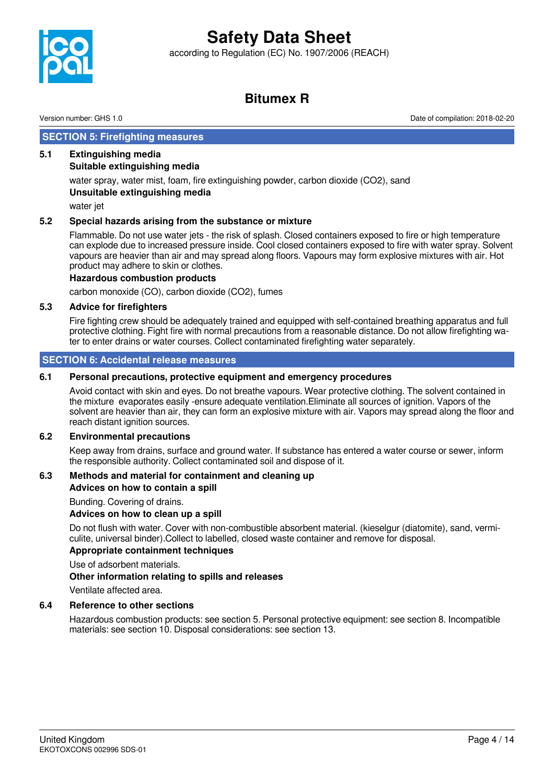according to Regulation (EC) No. 1907/2006 (REACH)



# **Bitumex R**

Version number: GHS 1.0 Date of compilation: 2018-02-20

# **SECTION 5: Firefighting measures**

# **5.1 Extinguishing media**

# **Suitable extinguishing media**

water spray, water mist, foam, fire extinguishing powder, carbon dioxide (CO2), sand **Unsuitable extinguishing media**

water jet

## **5.2 Special hazards arising from the substance or mixture**

Flammable. Do not use water jets - the risk of splash. Closed containers exposed to fire or high temperature can explode due to increased pressure inside. Cool closed containers exposed to fire with water spray. Solvent vapours are heavier than air and may spread along floors. Vapours may form explosive mixtures with air. Hot product may adhere to skin or clothes.

## **Hazardous combustion products**

carbon monoxide (CO), carbon dioxide (CO2), fumes

# **5.3 Advice for firefighters**

Fire fighting crew should be adequately trained and equipped with self-contained breathing apparatus and full protective clothing. Fight fire with normal precautions from a reasonable distance. Do not allow firefighting water to enter drains or water courses. Collect contaminated firefighting water separately.

# **SECTION 6: Accidental release measures**

# **6.1 Personal precautions, protective equipment and emergency procedures**

Avoid contact with skin and eyes. Do not breathe vapours. Wear protective clothing. The solvent contained in the mixture evaporates easily -ensure adequate ventilation.Eliminate all sources of ignition. Vapors of the solvent are heavier than air, they can form an explosive mixture with air. Vapors may spread along the floor and reach distant ignition sources.

## **6.2 Environmental precautions**

Keep away from drains, surface and ground water. If substance has entered a water course or sewer, inform the responsible authority. Collect contaminated soil and dispose of it.

## **6.3 Methods and material for containment and cleaning up**

**Advices on how to contain a spill**

Bunding. Covering of drains.

# **Advices on how to clean up a spill**

Do not flush with water. Cover with non-combustible absorbent material. (kieselgur (diatomite), sand, vermiculite, universal binder).Collect to labelled, closed waste container and remove for disposal.

## **Appropriate containment techniques**

Use of adsorbent materials.

## **Other information relating to spills and releases**

Ventilate affected area.

## **6.4 Reference to other sections**

Hazardous combustion products: see section 5. Personal protective equipment: see section 8. Incompatible materials: see section 10. Disposal considerations: see section 13.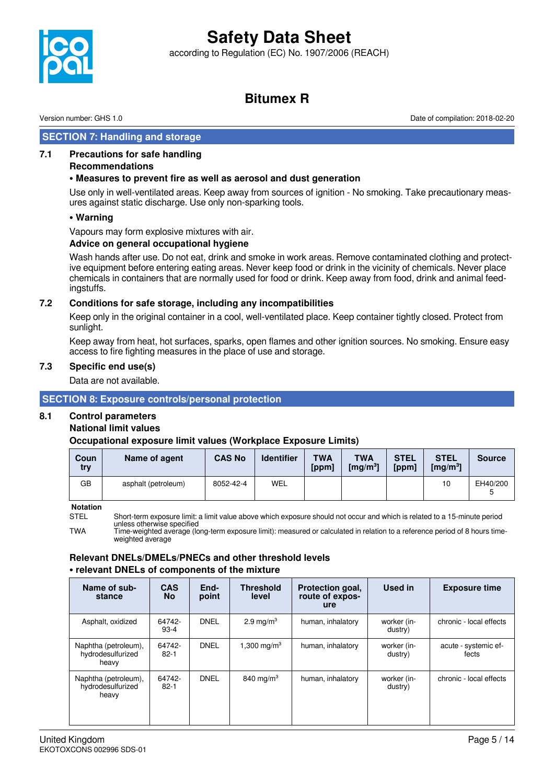according to Regulation (EC) No. 1907/2006 (REACH)



# **Bitumex R**

Version number: GHS 1.0 Date of compilation: 2018-02-20

# **SECTION 7: Handling and storage**

## **7.1 Precautions for safe handling**

#### **Recommendations**

## **• Measures to prevent fire as well as aerosol and dust generation**

Use only in well-ventilated areas. Keep away from sources of ignition - No smoking. Take precautionary measures against static discharge. Use only non-sparking tools.

#### **• Warning**

Vapours may form explosive mixtures with air.

#### **Advice on general occupational hygiene**

Wash hands after use. Do not eat, drink and smoke in work areas. Remove contaminated clothing and protective equipment before entering eating areas. Never keep food or drink in the vicinity of chemicals. Never place chemicals in containers that are normally used for food or drink. Keep away from food, drink and animal feedingstuffs.

## **7.2 Conditions for safe storage, including any incompatibilities**

Keep only in the original container in a cool, well-ventilated place. Keep container tightly closed. Protect from sunlight.

Keep away from heat, hot surfaces, sparks, open flames and other ignition sources. No smoking. Ensure easy access to fire fighting measures in the place of use and storage.

#### **7.3 Specific end use(s)**

Data are not available.

## **SECTION 8: Exposure controls/personal protection**

## **8.1 Control parameters**

## **National limit values**

## **Occupational exposure limit values (Workplace Exposure Limits)**

| Coun<br>try | Name of agent       | <b>CAS No</b> | <b>Identifier</b> | <b>TWA</b><br>[ppm] | <b>TWA</b><br>$\left[\frac{mq}{m^3}\right]$ | <b>STEL</b><br>[ppm] | <b>STEL</b><br>$\mathrm{[mg/m^3]}$ | <b>Source</b> |
|-------------|---------------------|---------------|-------------------|---------------------|---------------------------------------------|----------------------|------------------------------------|---------------|
| GВ          | asphalt (petroleum) | 8052-42-4     | WEL               |                     |                                             |                      | 10                                 | EH40/200      |

**Notation**

STEL Short-term exposure limit: a limit value above which exposure should not occur and which is related to a 15-minute period unless otherwise specified

TWA Time-weighted average (long-term exposure limit): measured or calculated in relation to a reference period of 8 hours timeweighted average

## **Relevant DNELs/DMELs/PNECs and other threshold levels • relevant DNELs of components of the mixture**

| Name of sub-<br>stance                             | <b>CAS</b><br><b>No</b> | End-<br>point | <b>Threshold</b><br>level | Protection goal,<br>route of expos-<br><u>ure</u> | Used in                | <b>Exposure time</b>          |
|----------------------------------------------------|-------------------------|---------------|---------------------------|---------------------------------------------------|------------------------|-------------------------------|
| Asphalt, oxidized                                  | 64742-<br>$93-4$        | <b>DNEL</b>   | 2.9 mg/m <sup>3</sup>     | human, inhalatory                                 | worker (in-<br>dustry) | chronic - local effects       |
| Naphtha (petroleum),<br>hydrodesulfurized<br>heavy | 64742-<br>$82 - 1$      | <b>DNEL</b>   | 1,300 mg/m <sup>3</sup>   | human, inhalatory                                 | worker (in-<br>dustry) | acute - systemic ef-<br>fects |
| Naphtha (petroleum),<br>hydrodesulfurized<br>heavy | 64742-<br>$82 - 1$      | <b>DNEL</b>   | 840 mg/m <sup>3</sup>     | human, inhalatory                                 | worker (in-<br>dustry) | chronic - local effects       |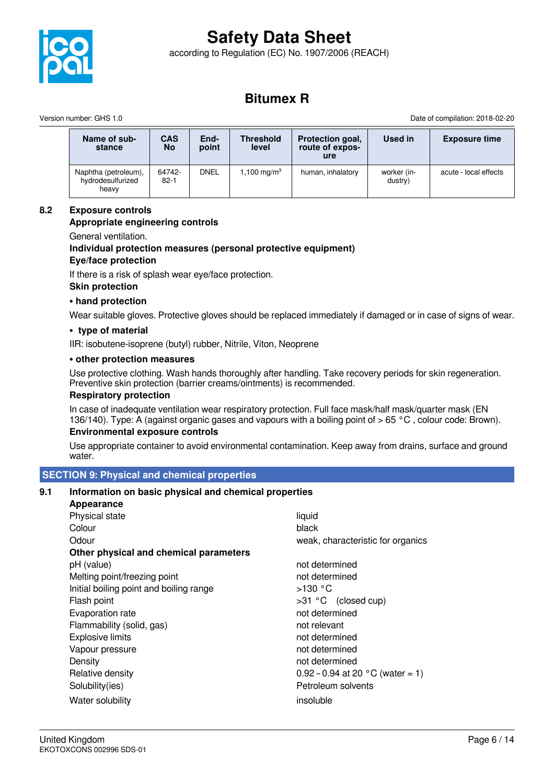

according to Regulation (EC) No. 1907/2006 (REACH)



# **Bitumex R**

Version number: GHS 1.0 Date of compilation: 2018-02-20

| Name of sub-<br>stance                             | <b>CAS</b><br><b>No</b> | End-<br>point | <b>Threshold</b><br>level | Protection goal,<br>route of expos-<br>ure | Used in                | <b>Exposure time</b>  |
|----------------------------------------------------|-------------------------|---------------|---------------------------|--------------------------------------------|------------------------|-----------------------|
| Naphtha (petroleum),<br>hydrodesulfurized<br>heavy | 64742-<br>$82 - 1$      | DNEL          | 1,100 mg/m <sup>3</sup>   | human, inhalatory                          | worker (in-<br>dustry) | acute - local effects |

# **8.2 Exposure controls**

# **Appropriate engineering controls**

General ventilation.

# **Individual protection measures (personal protective equipment)**

# **Eye/face protection**

If there is a risk of splash wear eye/face protection.

#### **Skin protection**

#### **• hand protection**

Wear suitable gloves. Protective gloves should be replaced immediately if damaged or in case of signs of wear.

#### **• type of material**

IIR: isobutene-isoprene (butyl) rubber, Nitrile, Viton, Neoprene

#### **• other protection measures**

Use protective clothing. Wash hands thoroughly after handling. Take recovery periods for skin regeneration. Preventive skin protection (barrier creams/ointments) is recommended.

#### **Respiratory protection**

In case of inadequate ventilation wear respiratory protection. Full face mask/half mask/quarter mask (EN 136/140). Type: A (against organic gases and vapours with a boiling point of > 65 °C, colour code: Brown).

# **Environmental exposure controls**

Use appropriate container to avoid environmental contamination. Keep away from drains, surface and ground water.

## **SECTION 9: Physical and chemical properties**

## **9.1 Information on basic physical and chemical properties**

| Appearance                              |                                            |
|-----------------------------------------|--------------------------------------------|
| Physical state                          | liquid                                     |
| Colour                                  | black                                      |
| Odour                                   | weak, characteristic for organics          |
| Other physical and chemical parameters  |                                            |
| pH (value)                              | not determined                             |
| Melting point/freezing point            | not determined                             |
| Initial boiling point and boiling range | >130 °C                                    |
| Flash point                             | >31 °C (closed cup)                        |
| Evaporation rate                        | not determined                             |
| Flammability (solid, gas)               | not relevant                               |
| <b>Explosive limits</b>                 | not determined                             |
| Vapour pressure                         | not determined                             |
| Density                                 | not determined                             |
| Relative density                        | 0.92 – 0.94 at 20 $^{\circ}$ C (water = 1) |
| Solubility(ies)                         | Petroleum solvents                         |
| Water solubility                        | insoluble                                  |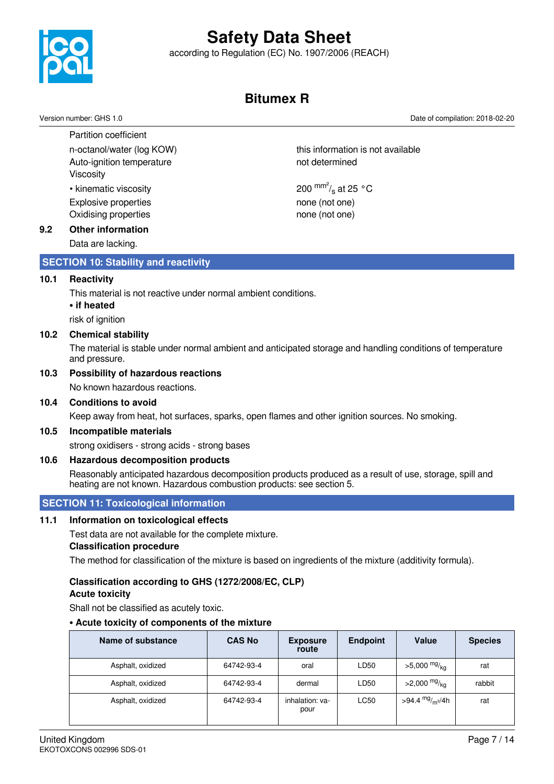

according to Regulation (EC) No. 1907/2006 (REACH)

# **Bitumex R**

200  $\mathrm{mm}^2$ /<sub>s</sub> at 25 °C

Version number: GHS 1.0 Date of compilation: 2018-02-20

Partition coefficient n-octanol/water (log KOW) horizon this information is not available Auto-ignition temperature not determined Viscosity

• kinematic viscosity Explosive properties none (not one) Oxidising properties none (not one)

# **9.2 Other information**

Data are lacking.

# **SECTION 10: Stability and reactivity**

#### **10.1 Reactivity**

This material is not reactive under normal ambient conditions.

#### **• if heated**

risk of ignition

#### **10.2 Chemical stability**

The material is stable under normal ambient and anticipated storage and handling conditions of temperature and pressure.

#### **10.3 Possibility of hazardous reactions**

No known hazardous reactions.

#### **10.4 Conditions to avoid**

Keep away from heat, hot surfaces, sparks, open flames and other ignition sources. No smoking.

#### **10.5 Incompatible materials**

strong oxidisers - strong acids - strong bases

#### **10.6 Hazardous decomposition products**

Reasonably anticipated hazardous decomposition products produced as a result of use, storage, spill and heating are not known. Hazardous combustion products: see section 5.

# **SECTION 11: Toxicological information**

# **11.1 Information on toxicological effects**

Test data are not available for the complete mixture. **Classification procedure**

The method for classification of the mixture is based on ingredients of the mixture (additivity formula).

# **Classification according to GHS (1272/2008/EC, CLP)**

# **Acute toxicity**

Shall not be classified as acutely toxic.

# **• Acute toxicity of components of the mixture**

| Name of substance | <b>CAS No</b> | <b>Exposure</b><br>route | <b>Endpoint</b> | <b>Value</b>                            | <b>Species</b> |
|-------------------|---------------|--------------------------|-----------------|-----------------------------------------|----------------|
| Asphalt, oxidized | 64742-93-4    | oral                     | LD50            | $>5,000$ mg/ <sub>kg</sub>              | rat            |
| Asphalt, oxidized | 64742-93-4    | dermal                   | LD50            | $>2,000$ mg/ <sub>kg</sub>              | rabbit         |
| Asphalt, oxidized | 64742-93-4    | inhalation: va-<br>pour  | LC50            | >94.4 <sup>mg</sup> / <sub>m</sub> 3/4h | rat            |

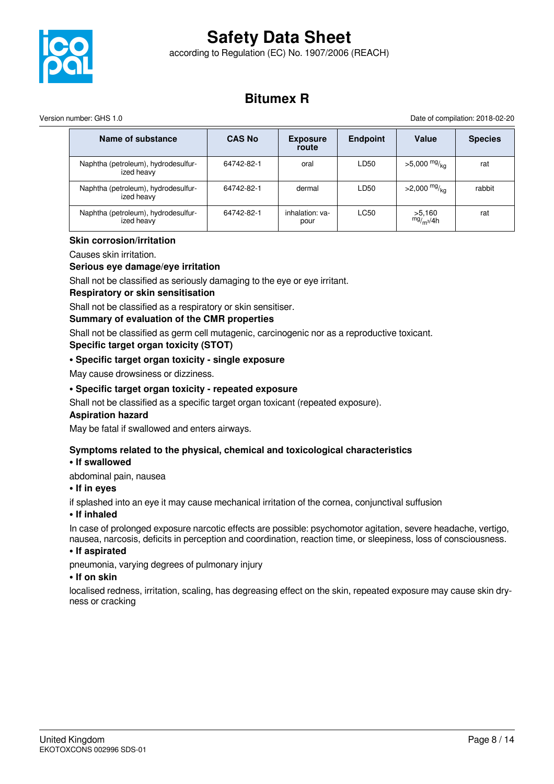

according to Regulation (EC) No. 1907/2006 (REACH)

# **Bitumex R**

Version number: GHS 1.0 Date of compilation: 2018-02-20

| Name of substance                                 | <b>CAS No</b> | <b>Exposure</b><br>route | <b>Endpoint</b> | Value                           | <b>Species</b> |
|---------------------------------------------------|---------------|--------------------------|-----------------|---------------------------------|----------------|
| Naphtha (petroleum), hydrodesulfur-<br>ized heavy | 64742-82-1    | oral                     | LD50            | $>5,000$ mg/ <sub>ka</sub>      | rat            |
| Naphtha (petroleum), hydrodesulfur-<br>ized heavy | 64742-82-1    | dermal                   | LD50            | >2,000 $mg/_{kq}$               | rabbit         |
| Naphtha (petroleum), hydrodesulfur-<br>ized heavy | 64742-82-1    | inhalation: ya-<br>pour  | LC50            | >5,160<br>mg/m <sub>3</sub> /4h | rat            |

## **Skin corrosion/irritation**

Causes skin irritation.

## **Serious eye damage/eye irritation**

Shall not be classified as seriously damaging to the eye or eye irritant.

#### **Respiratory or skin sensitisation**

Shall not be classified as a respiratory or skin sensitiser.

## **Summary of evaluation of the CMR properties**

Shall not be classified as germ cell mutagenic, carcinogenic nor as a reproductive toxicant. **Specific target organ toxicity (STOT)**

# **• Specific target organ toxicity - single exposure**

May cause drowsiness or dizziness.

# **• Specific target organ toxicity - repeated exposure**

Shall not be classified as a specific target organ toxicant (repeated exposure).

## **Aspiration hazard**

May be fatal if swallowed and enters airways.

## **Symptoms related to the physical, chemical and toxicological characteristics**

## **• If swallowed**

abdominal pain, nausea

## **• If in eyes**

if splashed into an eye it may cause mechanical irritation of the cornea, conjunctival suffusion

#### **• If inhaled**

In case of prolonged exposure narcotic effects are possible: psychomotor agitation, severe headache, vertigo, nausea, narcosis, deficits in perception and coordination, reaction time, or sleepiness, loss of consciousness.

## **• If aspirated**

pneumonia, varying degrees of pulmonary injury

#### **• If on skin**

localised redness, irritation, scaling, has degreasing effect on the skin, repeated exposure may cause skin dryness or cracking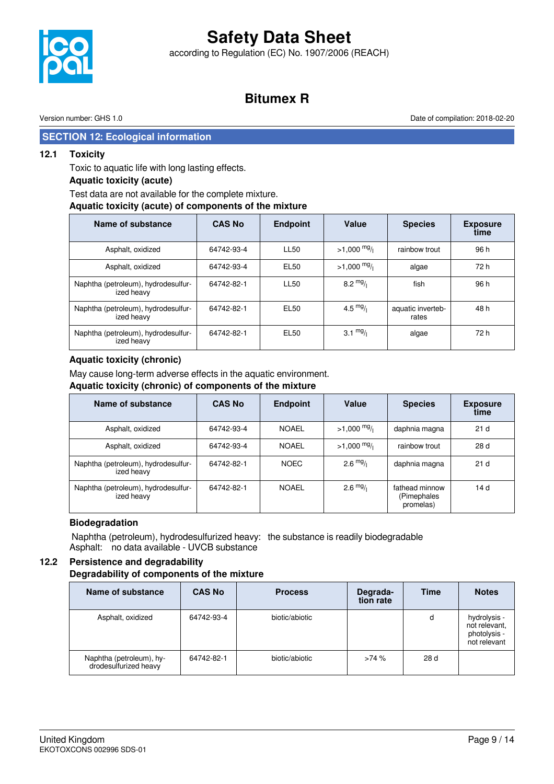according to Regulation (EC) No. 1907/2006 (REACH)

# **Bitumex R**

Version number: GHS 1.0 Date of compilation: 2018-02-20

# **SECTION 12: Ecological information**

## **12.1 Toxicity**

Toxic to aquatic life with long lasting effects.

## **Aquatic toxicity (acute)**

# Test data are not available for the complete mixture.

#### **Aquatic toxicity (acute) of components of the mixture**

| Name of substance                                 | <b>CAS No</b> | <b>Endpoint</b>  | Value                 | <b>Species</b>             | <b>Exposure</b><br>time |
|---------------------------------------------------|---------------|------------------|-----------------------|----------------------------|-------------------------|
| Asphalt, oxidized                                 | 64742-93-4    | <b>LL50</b>      | $>1,000 \frac{mg}{l}$ | rainbow trout              | 96 h                    |
| Asphalt, oxidized                                 | 64742-93-4    | <b>EL50</b>      | $>1,000$ mg/          | algae                      | 72 h                    |
| Naphtha (petroleum), hydrodesulfur-<br>ized heavy | 64742-82-1    | <b>LL50</b>      | $8.2 \frac{mg}{l}$    | fish                       | 96 h                    |
| Naphtha (petroleum), hydrodesulfur-<br>ized heavy | 64742-82-1    | <b>EL50</b>      | 4.5 $mg/1$            | aquatic inverteb-<br>rates | 48 h                    |
| Naphtha (petroleum), hydrodesulfur-<br>ized heavy | 64742-82-1    | EL <sub>50</sub> | $3.1 \frac{mg}{l}$    | algae                      | 72 h                    |

## **Aquatic toxicity (chronic)**

May cause long-term adverse effects in the aquatic environment.

#### **Aquatic toxicity (chronic) of components of the mixture**

| Name of substance                                 | <b>CAS No</b> | <b>Endpoint</b> | Value              | <b>Species</b>                             | <b>Exposure</b><br>time |
|---------------------------------------------------|---------------|-----------------|--------------------|--------------------------------------------|-------------------------|
| Asphalt, oxidized                                 | 64742-93-4    | <b>NOAEL</b>    | $>1,000$ mg/       | daphnia magna                              | 21 <sub>d</sub>         |
| Asphalt, oxidized                                 | 64742-93-4    | <b>NOAEL</b>    | $>1,000$ mg/       | rainbow trout                              | 28 d                    |
| Naphtha (petroleum), hydrodesulfur-<br>ized heavy | 64742-82-1    | <b>NOEC</b>     | $2.6 \frac{mg}{l}$ | daphnia magna                              | 21 <sub>d</sub>         |
| Naphtha (petroleum), hydrodesulfur-<br>ized heavy | 64742-82-1    | <b>NOAEL</b>    | $2.6 \frac{mg}{l}$ | fathead minnow<br>(Pimephales<br>promelas) | 14 d                    |

## **Biodegradation**

 Naphtha (petroleum), hydrodesulfurized heavy: the substance is readily biodegradable Asphalt: no data available - UVCB substance

# **12.2 Persistence and degradability**

#### **Degradability of components of the mixture**

| Name of substance                                 | <b>CAS No</b> | <b>Process</b> | Degrada-<br>tion rate | <b>Time</b> | <b>Notes</b>                                                  |
|---------------------------------------------------|---------------|----------------|-----------------------|-------------|---------------------------------------------------------------|
| Asphalt, oxidized                                 | 64742-93-4    | biotic/abiotic |                       | d           | hydrolysis -<br>not relevant,<br>photolysis -<br>not relevant |
| Naphtha (petroleum), hy-<br>drodesulfurized heavy | 64742-82-1    | biotic/abiotic | >74%                  | 28 d        |                                                               |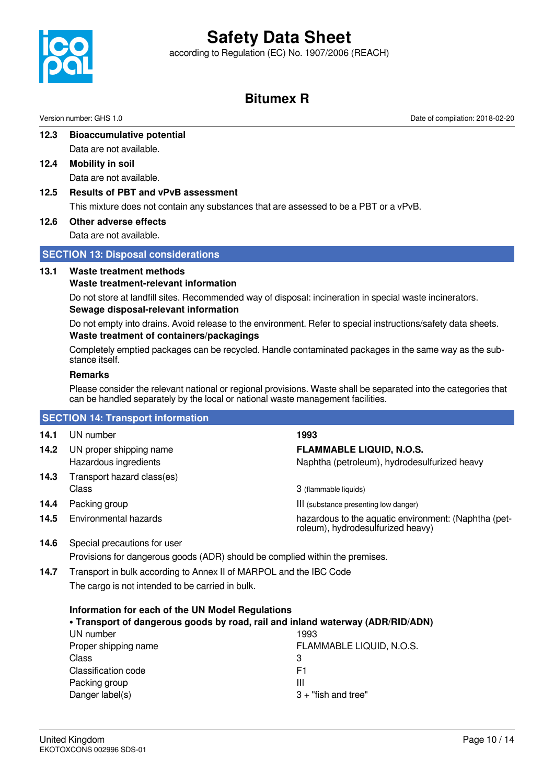according to Regulation (EC) No. 1907/2006 (REACH)



# **Bitumex R**

Version number: GHS 1.0 Date of compilation: 2018-02-20

- **12.3 Bioaccumulative potential** Data are not available.
- **12.4 Mobility in soil** Data are not available.
- **12.5 Results of PBT and vPvB assessment**

This mixture does not contain any substances that are assessed to be a PBT or a vPvB.

**12.6 Other adverse effects**

Data are not available.

# **SECTION 13: Disposal considerations**

## **13.1 Waste treatment methods**

**Waste treatment-relevant information**

Do not store at landfill sites. Recommended way of disposal: incineration in special waste incinerators. **Sewage disposal-relevant information**

Do not empty into drains. Avoid release to the environment. Refer to special instructions/safety data sheets. **Waste treatment of containers/packagings**

Completely emptied packages can be recycled. Handle contaminated packages in the same way as the substance itself.

## **Remarks**

Please consider the relevant national or regional provisions. Waste shall be separated into the categories that can be handled separately by the local or national waste management facilities.

# **SECTION 14: Transport information**

| 14.1 | UN number                                        | 1993                                                                                      |
|------|--------------------------------------------------|-------------------------------------------------------------------------------------------|
| 14.2 | UN proper shipping name<br>Hazardous ingredients | <b>FLAMMABLE LIQUID, N.O.S.</b><br>Naphtha (petroleum), hydrodesulfurized heavy           |
| 14.3 | Transport hazard class(es)<br>Class              | 3 (flammable liquids)                                                                     |
| 14.4 | Packing group                                    | III (substance presenting low danger)                                                     |
| 14.5 | Environmental hazards                            | hazardous to the aquatic environment: (Naphtha (pet-<br>roleum), hydrodesulfurized heavy) |

**14.6** Special precautions for user Provisions for dangerous goods (ADR) should be complied within the premises.

**14.7** Transport in bulk according to Annex II of MARPOL and the IBC Code The cargo is not intended to be carried in bulk.

| Information for each of the UN Model Regulations                               |                          |  |  |  |
|--------------------------------------------------------------------------------|--------------------------|--|--|--|
| . Transport of dangerous goods by road, rail and inland waterway (ADR/RID/ADN) |                          |  |  |  |
| UN number                                                                      | 1993                     |  |  |  |
| Proper shipping name                                                           | FLAMMABLE LIQUID, N.O.S. |  |  |  |
| Class                                                                          | 3                        |  |  |  |
| Classification code                                                            | F1                       |  |  |  |
| Packing group                                                                  | Ш                        |  |  |  |
| Danger label(s)                                                                | $3 +$ "fish and tree"    |  |  |  |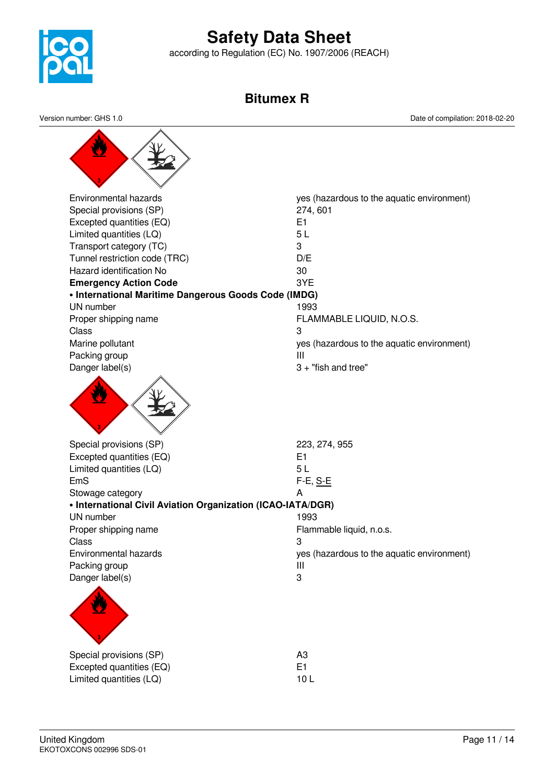

according to Regulation (EC) No. 1907/2006 (REACH)

# **Bitumex R**

Environmental hazards yes (hazardous to the aquatic environment) Special provisions (SP) 274, 601 Excepted quantities (EQ) E1 Limited quantities (LQ) 5 L Transport category (TC) 3 Tunnel restriction code (TRC) D/E Hazard identification No 30 **Emergency Action Code** 3YE **• International Maritime Dangerous Goods Code (IMDG)** UN number 1993 Proper shipping name **FLAMMABLE LIQUID, N.O.S.** Class 3 Marine pollutant Marine pollutant yes (hazardous to the aquatic environment) Packing group **III** Danger label(s) 3 + "fish and tree" Special provisions (SP) 223, 274, 955 Excepted quantities (EQ) E1 Limited quantities (LQ) 5 L EmS F-E, S-E Stowage category **A • International Civil Aviation Organization (ICAO-IATA/DGR)** UN number 1993 Proper shipping name Flammable liquid, n.o.s. Class 3 Environmental hazards yes (hazardous to the aquatic environment) Packing group III Danger label(s) 3 Special provisions (SP) and a set of the set of the set of the set of the set of the set of the set of the set of the set of the set of the set of the set of the set of the set of the set of the set of the set of the set o Excepted quantities (EQ) E1 Limited quantities (LQ) 10 L Version number: GHS 1.0 Date of compilation: 2018-02-20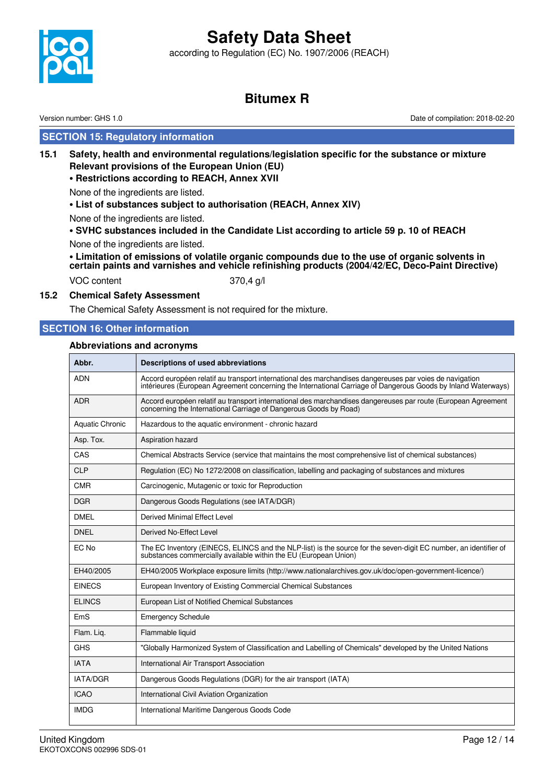according to Regulation (EC) No. 1907/2006 (REACH)



# **Bitumex R**

Version number: GHS 1.0 Date of compilation: 2018-02-20

# **SECTION 15: Regulatory information**

**15.1 Safety, health and environmental regulations/legislation specific for the substance or mixture Relevant provisions of the European Union (EU)**

## **• Restrictions according to REACH, Annex XVII**

None of the ingredients are listed.

**• List of substances subject to authorisation (REACH, Annex XIV)**

None of the ingredients are listed.

**• SVHC substances included in the Candidate List according to article 59 p. 10 of REACH** None of the ingredients are listed.

**• Limitation of emissions of volatile organic compounds due to the use of organic solvents in certain paints and varnishes and vehicle refinishing products (2004/42/EC, Deco-Paint Directive)**

VOC content 370,4 g/l

# **15.2 Chemical Safety Assessment**

The Chemical Safety Assessment is not required for the mixture.

# **SECTION 16: Other information**

# **Abbreviations and acronyms**

| Abbr.                  | <b>Descriptions of used abbreviations</b>                                                                                                                                                                                |
|------------------------|--------------------------------------------------------------------------------------------------------------------------------------------------------------------------------------------------------------------------|
| <b>ADN</b>             | Accord européen relatif au transport international des marchandises dangereuses par voies de navigation<br>intérieures (European Agreement concerning the International Carriage of Dangerous Goods by Inland Waterways) |
| <b>ADR</b>             | Accord européen relatif au transport international des marchandises dangereuses par route (European Agreement<br>concerning the International Carriage of Dangerous Goods by Road)                                       |
| <b>Aquatic Chronic</b> | Hazardous to the aquatic environment - chronic hazard                                                                                                                                                                    |
| Asp. Tox.              | Aspiration hazard                                                                                                                                                                                                        |
| CAS                    | Chemical Abstracts Service (service that maintains the most comprehensive list of chemical substances)                                                                                                                   |
| <b>CLP</b>             | Regulation (EC) No 1272/2008 on classification, labelling and packaging of substances and mixtures                                                                                                                       |
| <b>CMR</b>             | Carcinogenic, Mutagenic or toxic for Reproduction                                                                                                                                                                        |
| <b>DGR</b>             | Dangerous Goods Regulations (see IATA/DGR)                                                                                                                                                                               |
| <b>DMEL</b>            | Derived Minimal Effect Level                                                                                                                                                                                             |
| <b>DNEL</b>            | Derived No-Effect Level                                                                                                                                                                                                  |
| EC No                  | The EC Inventory (EINECS, ELINCS and the NLP-list) is the source for the seven-digit EC number, an identifier of<br>substances commercially available within the EU (European Union)                                     |
| EH40/2005              | EH40/2005 Workplace exposure limits (http://www.nationalarchives.gov.uk/doc/open-government-licence/)                                                                                                                    |
| <b>EINECS</b>          | European Inventory of Existing Commercial Chemical Substances                                                                                                                                                            |
| <b>ELINCS</b>          | European List of Notified Chemical Substances                                                                                                                                                                            |
| EmS                    | <b>Emergency Schedule</b>                                                                                                                                                                                                |
| Flam. Liq.             | Flammable liquid                                                                                                                                                                                                         |
| <b>GHS</b>             | "Globally Harmonized System of Classification and Labelling of Chemicals" developed by the United Nations                                                                                                                |
| <b>IATA</b>            | International Air Transport Association                                                                                                                                                                                  |
| <b>IATA/DGR</b>        | Dangerous Goods Regulations (DGR) for the air transport (IATA)                                                                                                                                                           |
| <b>ICAO</b>            | International Civil Aviation Organization                                                                                                                                                                                |
| <b>IMDG</b>            | International Maritime Dangerous Goods Code                                                                                                                                                                              |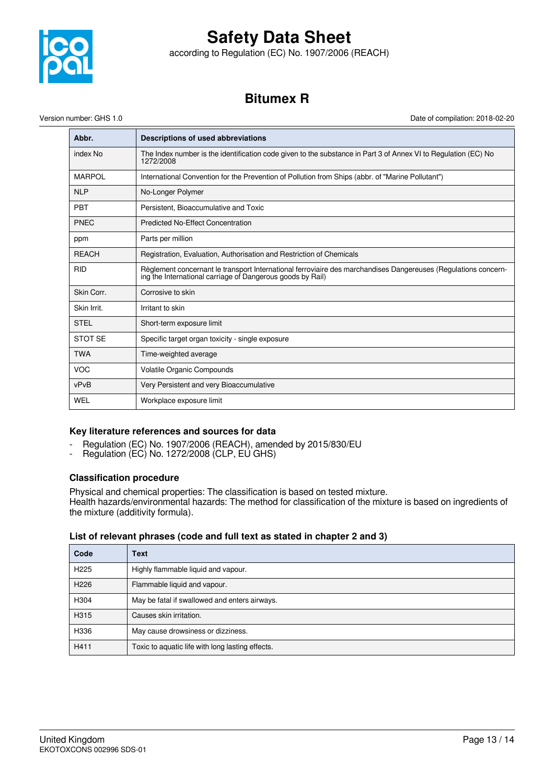

according to Regulation (EC) No. 1907/2006 (REACH)

# **Bitumex R**

Version number: GHS 1.0 Date of compilation: 2018-02-20

| Abbr.          | Descriptions of used abbreviations                                                                                                                                           |
|----------------|------------------------------------------------------------------------------------------------------------------------------------------------------------------------------|
| index No       | The Index number is the identification code given to the substance in Part 3 of Annex VI to Regulation (EC) No<br>1272/2008                                                  |
| <b>MARPOL</b>  | International Convention for the Prevention of Pollution from Ships (abbr. of "Marine Pollutant")                                                                            |
| <b>NLP</b>     | No-Longer Polymer                                                                                                                                                            |
| <b>PBT</b>     | Persistent, Bioaccumulative and Toxic                                                                                                                                        |
| <b>PNEC</b>    | <b>Predicted No-Effect Concentration</b>                                                                                                                                     |
| ppm            | Parts per million                                                                                                                                                            |
| <b>REACH</b>   | Registration, Evaluation, Authorisation and Restriction of Chemicals                                                                                                         |
| <b>RID</b>     | Règlement concernant le transport International ferroviaire des marchandises Dangereuses (Regulations concern-<br>ing the International carriage of Dangerous goods by Rail) |
| Skin Corr.     | Corrosive to skin                                                                                                                                                            |
| Skin Irrit.    | Irritant to skin                                                                                                                                                             |
| <b>STEL</b>    | Short-term exposure limit                                                                                                                                                    |
| <b>STOT SE</b> | Specific target organ toxicity - single exposure                                                                                                                             |
| <b>TWA</b>     | Time-weighted average                                                                                                                                                        |
| <b>VOC</b>     | Volatile Organic Compounds                                                                                                                                                   |
| vPvB           | Very Persistent and very Bioaccumulative                                                                                                                                     |
| WEL            | Workplace exposure limit                                                                                                                                                     |

# **Key literature references and sources for data**

- Regulation (EC) No. 1907/2006 (REACH), amended by 2015/830/EU
- Regulation (EC) No. 1272/2008 (CLP, EU GHS)

## **Classification procedure**

Physical and chemical properties: The classification is based on tested mixture. Health hazards/environmental hazards: The method for classification of the mixture is based on ingredients of the mixture (additivity formula).

## **List of relevant phrases (code and full text as stated in chapter 2 and 3)**

| Code             | <b>Text</b>                                      |
|------------------|--------------------------------------------------|
| H <sub>225</sub> | Highly flammable liquid and vapour.              |
| H <sub>226</sub> | Flammable liquid and vapour.                     |
| H304             | May be fatal if swallowed and enters airways.    |
| H315             | Causes skin irritation.                          |
| H336             | May cause drowsiness or dizziness.               |
| H411             | Toxic to aquatic life with long lasting effects. |